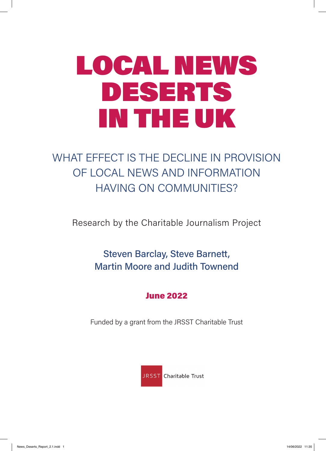# LOCAL NEWS DESERTS IN THE UK

# WHAT EFFECT IS THE DECLINE IN PROVISION OF LOCAL NEWS AND INFORMATION HAVING ON COMMUNITIES?

Research by the Charitable Journalism Project

Steven Barclay, Steve Barnett, Martin Moore and Judith Townend

# June 2022

Funded by a grant from the JRSST Charitable Trust

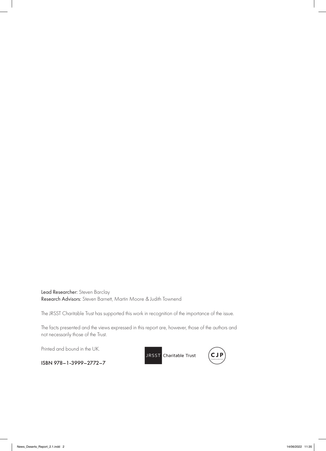Lead Researcher: Steven Barclay Research Advisors: Steven Barnett, Martin Moore & Judith Townend

The JRSST Charitable Trust has supported this work in recognition of the importance of the issue.

The facts presented and the views expressed in this report are, however, those of the authors and not necessarily those of the Trust.

Printed and bound in the UK.

ISBN 978–1-3999–2772–7

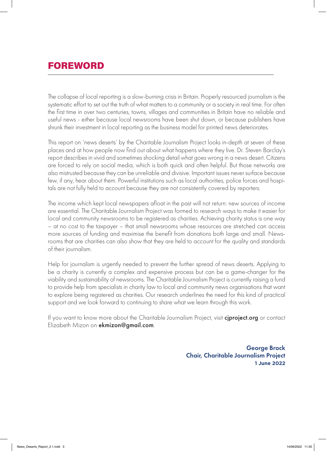# FOREWORD

The collapse of local reporting is a slow-burning crisis in Britain. Properly resourced journalism is the systematic effort to set out the truth of what matters to a community or a society in real time. For often the first time in over two centuries, towns, villages and communities in Britain have no reliable and useful news - either because local newsrooms have been shut down, or because publishers have shrunk their investment in local reporting as the business model for printed news deteriorates.

This report on 'news deserts' by the Charitable Journalism Project looks in-depth at seven of these places and at how people now find out about what happens where they live. Dr. Steven Barclay's report describes in vivid and sometimes shocking detail what goes wrong in a news desert. Citizens are forced to rely on social media, which is both quick and often helpful. But those networks are also mistrusted because they can be unreliable and divisive. Important issues never surface because few, if any, hear about them. Powerful institutions such as local authorities, police forces and hospitals are not fully held to account because they are not consistently covered by reporters.

The income which kept local newspapers afloat in the past will not return: new sources of income are essential. The Charitable Journalism Project was formed to research ways to make it easier for local and community newsrooms to be registered as charities. Achieving charity status is one way – at no cost to the taxpayer – that small newsrooms whose resources are stretched can access more sources of funding and maximise the benefit from donations both large and small. Newsrooms that are charities can also show that they are held to account for the quality and standards of their journalism.

Help for journalism is urgently needed to prevent the further spread of news deserts. Applying to be a charity is currently a complex and expensive process but can be a game-changer for the viability and sustainability of newsrooms. The Charitable Journalism Project is currently raising a fund to provide help from specialists in charity law to local and community news organisations that want to explore being registered as charities. Our research underlines the need for this kind of practical support and we look forward to continuing to share what we learn through this work.

If you want to know more about the Charitable Journalism Project, visit **ciproject.org** or contact Elizabeth Mizon on ekmizon@gmail.com.

> George Brock Chair, Charitable Journalism Project **1 June 2022**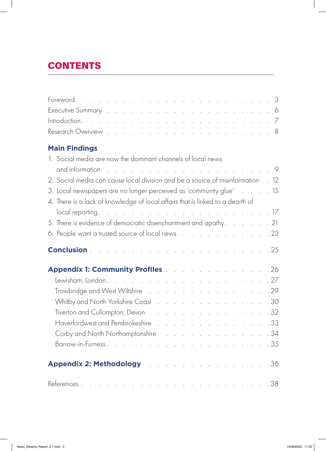# **CONTENTS**

# **Main Findings**

| 1. Social media are now the dominant channels of local news                     |  |  |  |  |  |  |  |  |  |  |  |  |  |  |
|---------------------------------------------------------------------------------|--|--|--|--|--|--|--|--|--|--|--|--|--|--|
|                                                                                 |  |  |  |  |  |  |  |  |  |  |  |  |  |  |
| 2. Social media can cause local division and be a source of misinformation . 12 |  |  |  |  |  |  |  |  |  |  |  |  |  |  |
| 3. Local newspapers are no longer perceived as 'community glue' 15              |  |  |  |  |  |  |  |  |  |  |  |  |  |  |
| 4. There is a lack of knowledge of local affairs that is linked to a dearth of  |  |  |  |  |  |  |  |  |  |  |  |  |  |  |
|                                                                                 |  |  |  |  |  |  |  |  |  |  |  |  |  |  |
| 5. There is evidence of democratic disenchantment and apathy. 21                |  |  |  |  |  |  |  |  |  |  |  |  |  |  |
| 6. People want a trusted source of local news 23                                |  |  |  |  |  |  |  |  |  |  |  |  |  |  |
|                                                                                 |  |  |  |  |  |  |  |  |  |  |  |  |  |  |
|                                                                                 |  |  |  |  |  |  |  |  |  |  |  |  |  |  |
|                                                                                 |  |  |  |  |  |  |  |  |  |  |  |  |  |  |
| Trowbridge and West Wiltshire 29                                                |  |  |  |  |  |  |  |  |  |  |  |  |  |  |
| Whitby and North Yorkshire Coast 30                                             |  |  |  |  |  |  |  |  |  |  |  |  |  |  |
| Tiverton and Cullompton, Devon 32                                               |  |  |  |  |  |  |  |  |  |  |  |  |  |  |
| Haverfordwest and Pembrokeshire 33                                              |  |  |  |  |  |  |  |  |  |  |  |  |  |  |
| Corby and North Northamptonshire. 34                                            |  |  |  |  |  |  |  |  |  |  |  |  |  |  |
|                                                                                 |  |  |  |  |  |  |  |  |  |  |  |  |  |  |
| Appendix 2: Methodology and a series are seen as a series of 36                 |  |  |  |  |  |  |  |  |  |  |  |  |  |  |
|                                                                                 |  |  |  |  |  |  |  |  |  |  |  |  |  |  |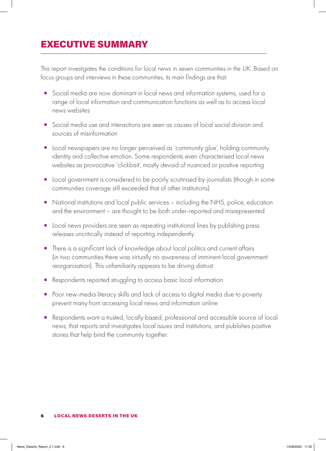# EXECUTIVE SUMMARY

This report investigates the conditions for local news in seven communities in the UK. Based on focus groups and interviews in these communities, its main findings are that:

- Social media are now dominant in local news and information systems, used for a range of local information and communication functions as well as to access local news websites
- Social media use and interactions are seen as causes of local social division and sources of misinformation
- Local newspapers are no longer perceived as 'community glue', holding community identity and collective emotion. Some respondents even characterised local news websites as provocative 'clickbait', mostly devoid of nuanced or positive reporting
- Local government is considered to be poorly scrutinised by journalists (though in some communities coverage still exceeded that of other institutions)
- National institutions and local public services including the NHS, police, education and the environment – are thought to be both under-reported and misrepresented
- Local news providers are seen as repeating institutional lines by publishing press releases uncritically instead of reporting independently
- There is a significant lack of knowledge about local politics and current affairs (in two communities there was virtually no awareness of imminent local government reorganisation). This unfamiliarity appears to be driving distrust
- Respondents reported struggling to access basic local information
- Poor new-media literacy skills and lack of access to digital media due to poverty prevent many from accessing local news and information online
- Respondents want a trusted, locally based, professional and accessible source of local news, that reports and investigates local issues and institutions, and publishes positive stories that help bind the community together.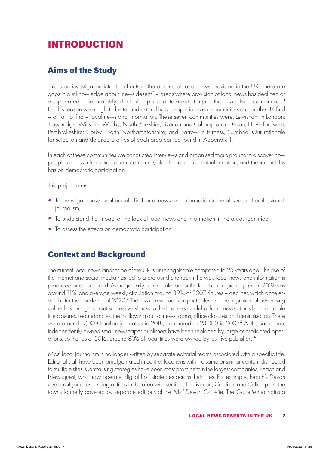# INTRODUCTION

### Aims of the Study

This is an investigation into the effects of the decline of local news provision in the UK. There are gaps in our knowledge about 'news deserts' – areas where provision of local news has declined or disappeared – most notably a lack of empirical data on what impact this has on local communities.<sup>1</sup> For this reason we sought to better understand how people in seven communities around the UK find – or fail to find – local news and information. These seven communities were: Lewisham in London; Trowbridge, Wiltshire; Whitby, North Yorkshire; Tiverton and Cullompton in Devon; Haverfordwest, Pembrokeshire; Corby, North Northamptonshire; and Barrow-in-Furness, Cumbria. Our rationale for selection and detailed profiles of each area can be found in Appendix 1.

In each of these communities we conducted interviews and organised focus groups to discover how people access information about community life, the nature of that information, and the impact this has on democratic participation.

This project aims:

- To investigate how local people find local news and information in the absence of professional journalism;
- To understand the impact of the lack of local news and information in the areas identified;
- To assess the effects on democratic participation.

### Context and Background

The current local news landscape of the UK is unrecognisable compared to 25 years ago. The rise of the internet and social media has led to a profound change in the way local news and information is produced and consumed. Average daily print circulation for the local and regional press in 2019 was around 31%, and average weekly circulation around 39%, of 2007 figures – declines which accelerated after the pandemic of 2020.<sup>2</sup> The loss of revenue from print sales and the migration of advertising online has brought about successive shocks to the business model of local news. It has led to multiple title closures, redundancies, the 'hollowing out' of news rooms, office closures and centralisation. There were around 17,000 frontline journalists in 2018, compared to 23,000 in 2007.<sup>3</sup> At the same time, independently owned small newspaper publishers have been replaced by large consolidated operations, so that as of 2016, around 80% of local titles were owned by just five publishers.<sup>4</sup>

Most local journalism is no longer written by separate editorial teams associated with a specific title. Editorial staff have been amalgamated in central locations with the same or similar content distributed to multiple sites. Centralising strategies have been most prominent in the largest companies, Reach and Newsquest, who now operate 'digital first' strategies across their titles. For example, Reach's *Devon Live* amalgamates a string of titles in the area with sections for Tiverton, Crediton and Cullompton, the towns formerly covered by separate editions of the *Mid Devon Gazette*. The *Gazette* maintains a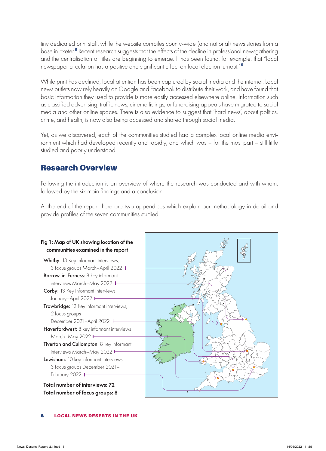tiny dedicated print staff, while the website compiles county-wide (and national) news stories from a base in Exeter.<sup>5</sup> Recent research suggests that the effects of the decline in professional newsgathering and the centralisation of titles are beginning to emerge. It has been found, for example, that "local newspaper circulation has a positive and significant effect on local election turnout."<sup>6</sup>

While print has declined, local attention has been captured by social media and the internet. Local news outlets now rely heavily on Google and Facebook to distribute their work, and have found that basic information they used to provide is more easily accessed elsewhere online. Information such as classified advertising, traffic news, cinema listings, or fundraising appeals have migrated to social media and other online spaces. There is also evidence to suggest that 'hard news', about politics, crime, and health, is now also being accessed and shared through social media.

Yet, as we discovered, each of the communities studied had a complex local online media environment which had developed recently and rapidly, and which was – for the most part – still little studied and poorly understood.

### Research Overview

Following the introduction is an overview of where the research was conducted and with whom, followed by the six main findings and a conclusion.

At the end of the report there are two appendices which explain our methodology in detail and provide profiles of the seven communities studied.



Total number of interviews: 72 Total number of focus groups: 8

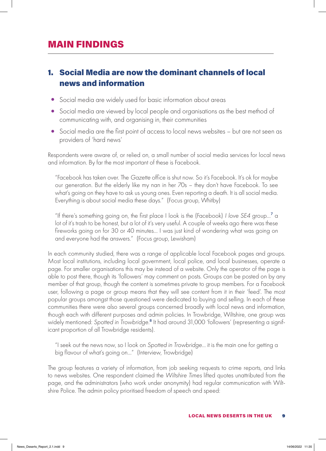# MAIN FINDINGS

# 1. Social Media are now the dominant channels of local news and information

- Social media are widely used for basic information about areas
- Social media are viewed by local people and organisations as the best method of communicating with, and organising in, their communities
- Social media are the first point of access to local news websites but are not seen as providers of 'hard news'

Respondents were aware of, or relied on, a small number of social media services for local news and information. By far the most important of these is Facebook.

"Facebook has taken over. The *Gazette* office is shut now. So it's Facebook. It's ok for maybe our generation. But the elderly like my nan in her 70s – they don't have Facebook. To see what's going on they have to ask us young ones. Even reporting a death. It is all social media. Everything is about social media these days." (Focus group, Whitby)

"If there's something going on, the first place I look is the (Facebook) *I love SE4* group…<sup>7</sup> a lot of it's trash to be honest, but a lot of it's very useful. A couple of weeks ago there was these fireworks going on for 30 or 40 minutes… I was just kind of wondering what was going on and everyone had the answers." (Focus group, Lewisham)

In each community studied, there was a range of applicable local Facebook pages and groups. Most local institutions, including local government, local police, and local businesses, operate a page. For smaller organisations this may be instead of a website. Only the operator of the page is able to post there, though its 'followers' may comment on posts. Groups can be posted on by any member of that group, though the content is sometimes private to group members. For a Facebook user, following a page or group means that they will see content from it in their 'feed'. The most popular groups amongst those questioned were dedicated to buying and selling. In each of these communities there were also several groups concerned broadly with local news and information, though each with different purposes and admin policies. In Trowbridge, Wiltshire, one group was widely mentioned: *Spotted in Trowbridge*. 8 It had around 31,000 'followers' (representing a significant proportion of all Trowbridge residents).

"I seek out the news now, so I look on *Spotted in Trowbridge*… it is the main one for getting a big flavour of what's going on…" (Interview, Trowbridge)

The group features a variety of information, from job seeking requests to crime reports, and links to news websites. One respondent claimed the *Wiltshire Times* lifted quotes unattributed from the page, and the administrators (who work under anonymity) had regular communication with Wiltshire Police. The admin policy prioritised freedom of speech and speed: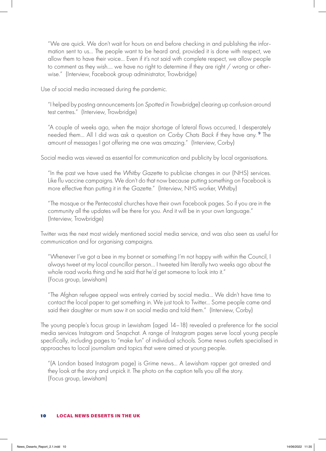"We are quick. We don't wait for hours on end before checking in and publishing the information sent to us… The people want to be heard and, provided it is done with respect, we allow them to have their voice... Even if it's not said with complete respect, we allow people to comment as they wish…. we have no right to determine if they are right / wrong or otherwise." (Interview, Facebook group administrator, Trowbridge)

Use of social media increased during the pandemic.

"I helped by posting announcements (on *Spotted in Trowbridge*) clearing up confusion around test centres." (Interview, Trowbridge)

"A couple of weeks ago, when the major shortage of lateral flows occurred, I desperately needed them… All I did was ask a question on *Corby Chats Back* if they have any.<sup>9</sup> The amount of messages I got offering me one was amazing." (Interview, Corby)

Social media was viewed as essential for communication and publicity by local organisations.

"In the past we have used the *Whitby Gazette* to publicise changes in our (NHS) services. Like flu vaccine campaigns. We don't do that now because putting something on Facebook is more effective than putting it in the *Gazette*." (Interview, NHS worker, Whitby)

"The mosque or the Pentecostal churches have their own Facebook pages. So if you are in the community all the updates will be there for you. And it will be in your own language." (Interview, Trowbridge)

Twitter was the next most widely mentioned social media service, and was also seen as useful for communication and for organising campaigns.

"Whenever I've got a bee in my bonnet or something I'm not happy with within the Council, I always tweet at my local councillor person… I tweeted him literally two weeks ago about the whole road works thing and he said that he'd get someone to look into it." (Focus group, Lewisham)

"The Afghan refugee appeal was entirely carried by social media... We didn't have time to contact the local paper to get something in. We just took to Twitter… Some people came and said their daughter or mum saw it on social media and told them." (Interview, Corby)

The young people's focus group in Lewisham (aged 14–18) revealed a preference for the social media services Instagram and Snapchat. A range of Instagram pages serve local young people specifically, including pages to "make fun" of individual schools. Some news outlets specialised in approaches to local journalism and topics that were aimed at young people.

"(A London based Instagram page) is Grime news... A Lewisham rapper got arrested and they look at the story and unpick it. The photo on the caption tells you all the story. (Focus group, Lewisham)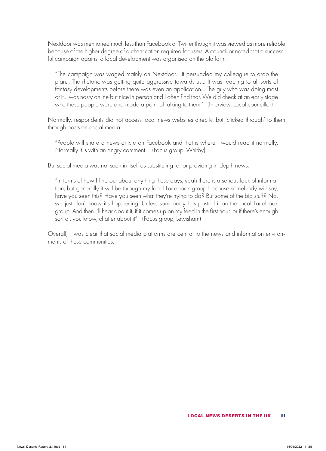Nextdoor was mentioned much less than Facebook or Twitter though it was viewed as more reliable because of the higher degree of authentication required for users. A councillor noted that a successful campaign against a local development was organised on the platform.

"The campaign was waged mainly on Nextdoor… it persuaded my colleague to drop the plan… The rhetoric was getting quite aggressive towards us... It was reacting to all sorts of fantasy developments before there was even an application… The guy who was doing most of it… was nasty online but nice in person and I often find that. We did check at an early stage who these people were and made a point of talking to them." (Interview, Local councillor)

Normally, respondents did not access local news websites directly, but 'clicked through' to them through posts on social media.

"People will share a news article on Facebook and that is where I would read it normally. Normally it is with an angry comment." (Focus group, Whitby)

But social media was not seen in itself as substituting for or providing in-depth news.

"In terms of how I find out about anything these days, yeah there is a serious lack of information, but generally it will be through my local Facebook group because somebody will say, have you seen this? Have you seen what they're trying to do? But some of the big stuff? No, we just don't know it's happening. Unless somebody has posted it on the local Facebook group. And then I'll hear about it, if it comes up on my feed in the first hour, or if there's enough sort of, you know, chatter about it". (Focus group, Lewisham)

Overall, it was clear that social media platforms are central to the news and information environments of these communities.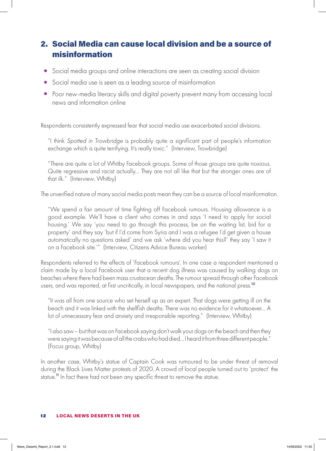# 2. Social Media can cause local division and be a source of misinformation

- Social media groups and online interactions are seen as creating social division
- Social media use is seen as a leading source of misinformation
- Poor new-media literacy skills and digital poverty prevent many from accessing local news and information online

Respondents consistently expressed fear that social media use exacerbated social divisions.

"I think *Spotted in Trowbridge* is probably quite a significant part of people's information exchange which is quite terrifying. It's really toxic." (Interview, Trowbridge)

"There are quite a lot of Whitby Facebook groups. Some of those groups are quite noxious. Quite regressive and racist actually… They are not all like that but the stronger ones are of that ilk." (Interview, Whitby)

The unverified nature of many social media posts mean they can be a source of local misinformation.

"We spend a fair amount of time fighting off Facebook rumours. Housing allowance is a good example. We'll have a client who comes in and says 'I need to apply for social housing.' We say 'you need to go through this process, be on the waiting list, bid for a property' and they say 'but if I'd come from Syria and I was a refugee I'd get given a house automatically no questions asked' and we ask 'where did you hear this?' they say 'I saw it on a Facebook site.'" (Interview, Citizens Advice Bureau worker)

Respondents referred to the effects of 'Facebook rumours'. In one case a respondent mentioned a claim made by a local Facebook user that a recent dog illness was caused by walking dogs on beaches where there had been mass crustacean deaths. The rumour spread through other Facebook users, and was reported, at first uncritically, in local newspapers, and the national press.<sup>10</sup>

"It was all from one source who set herself up as an expert. That dogs were getting ill on the beach and it was linked with the shellfish deaths. There was no evidence for it whatsoever… A lot of unnecessary fear and anxiety and irresponsible reporting." (Interview, Whitby)

"I also saw – but that was on Facebook saying don't walk your dogs on the beach and then they were saying it was because of all the crabs who had died… I heard it from three different people." (Focus group, Whitby)

In another case, Whitby's statue of Captain Cook was rumoured to be under threat of removal during the Black Lives Matter protests of 2020. A crowd of local people turned out to 'protect' the statue.<sup>11</sup> In fact there had not been any specific threat to remove the statue.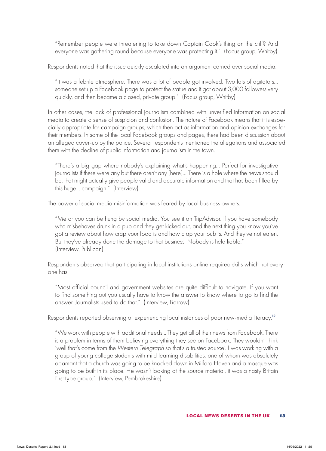"Remember people were threatening to take down Captain Cook's thing on the cliff? And everyone was gathering round because everyone was protecting it." (Focus group, Whitby)

Respondents noted that the issue quickly escalated into an argument carried over social media.

"It was a febrile atmosphere. There was a lot of people got involved. Two lots of agitators… someone set up a Facebook page to protect the statue and it got about 3,000 followers very quickly, and then became a closed, private group." (Focus group, Whitby)

In other cases, the lack of professional journalism combined with unverified information on social media to create a sense of suspicion and confusion. The nature of Facebook means that it is especially appropriate for campaign groups, which then act as information and opinion exchanges for their members. In some of the local Facebook groups and pages, there had been discussion about an alleged cover-up by the police. Several respondents mentioned the allegations and associated them with the decline of public information and journalism in the town.

"There's a big gap where nobody's explaining what's happening… Perfect for investigative journalists if there were any but there aren't any [here]… There is a hole where the news should be, that might actually give people valid and accurate information and that has been filled by this huge… campaign." (Interview)

The power of social media misinformation was feared by local business owners.

"Me or you can be hung by social media. You see it on TripAdvisor. If you have somebody who misbehaves drunk in a pub and they get kicked out, and the next thing you know you've got a review about how crap your food is and how crap your pub is. And they've not eaten. But they've already done the damage to that business. Nobody is held liable." (Interview, Publican)

Respondents observed that participating in local institutions online required skills which not everyone has.

"Most official council and government websites are quite difficult to navigate. If you want to find something out you usually have to know the answer to know where to go to find the answer. Journalists used to do that." (Interview, Barrow)

Respondents reported observing or experiencing local instances of poor new-media literacy.<sup>12</sup>

"We work with people with additional needs… They get all of their news from Facebook. There is a problem in terms of them believing everything they see on Facebook. They wouldn't think 'well that's come from the *Western Telegraph* so that's a trusted source'. I was working with a group of young college students with mild learning disabilities, one of whom was absolutely adamant that a church was going to be knocked down in Milford Haven and a mosque was going to be built in its place. He wasn't looking at the source material, it was a nasty Britain First type group." (Interview, Pembrokeshire)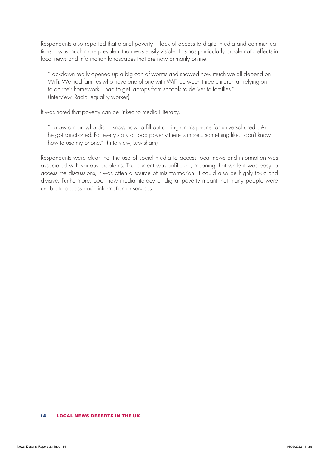Respondents also reported that digital poverty – lack of access to digital media and communications – was much more prevalent than was easily visible. This has particularly problematic effects in local news and information landscapes that are now primarily online.

"Lockdown really opened up a big can of worms and showed how much we all depend on WiFi. We had families who have one phone with WiFi between three children all relying on it to do their homework; I had to get laptops from schools to deliver to families." (Interview, Racial equality worker)

It was noted that poverty can be linked to media illiteracy.

"I know a man who didn't know how to fill out a thing on his phone for universal credit. And he got sanctioned. For every story of food poverty there is more… something like, I don't know how to use my phone." (Interview, Lewisham)

Respondents were clear that the use of social media to access local news and information was associated with various problems. The content was unfiltered, meaning that while it was easy to access the discussions, it was often a source of misinformation. It could also be highly toxic and divisive. Furthermore, poor new-media literacy or digital poverty meant that many people were unable to access basic information or services.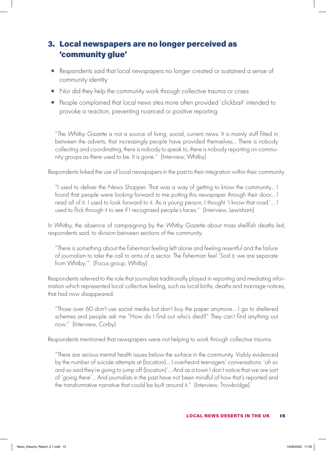# 3. Local newspapers are no longer perceived as 'community glue'

- Respondents said that local newspapers no longer created or sustained a sense of community identity
- Nor did they help the community work through collective trauma or crises
- People complained that local news sites more often provided 'clickbait' intended to provoke a reaction, preventing nuanced or positive reporting

"The *Whitby Gazette* is not a source of living, social, current news. It is mainly stuff fitted in between the adverts, that increasingly people have provided themselves... There is nobody collecting and coordinating, there is nobody to speak to, there is nobody reporting on community groups as there used to be. It is gone." (Interview, Whitby)

Respondents linked the use of local newspapers in the past to their integration within their community.

"I used to deliver the *News Shopper*. That was a way of getting to know the community… I found that people were looking forward to me putting this newspaper through their door… I read all of it. I used to look forward to it. As a young person, I thought 'I know that road.'… I used to flick through it to see if I recognised people's faces." (Interview, Lewisham)

In Whitby, the absence of campaigning by the *Whitby Gazette* about mass shellfish deaths led, respondents said, to division between sections of the community.

"There is something about the fisherman feeling left alone and feeling resentful and the failure of journalism to take the call to arms of a sector. The fisherman feel 'Sod it, we are separate from Whitby.'" (Focus group, Whitby)

Respondents referred to the role that journalists traditionally played in reporting and mediating information which represented local collective feeling, such as local births, deaths and marriage notices, that had now disappeared.

"Those over 60 don't use social media but don't buy the paper anymore… I go to sheltered schemes and people ask me "How do I find out who's died?" They can't find anything out now." (Interview, Corby)

Respondents mentioned that newspapers were not helping to work through collective trauma.

"There are serious mental health issues below the surface in the community. Visibly evidenced by the number of suicide attempts at (location)… I overheard teenagers' conversations: 'oh so and so said they're going to jump off (location)'… And as a town I don't notice that we are sort of 'going there'… And journalists in the past have not been mindful of how that's reported and the transformative narrative that could be built around it." (Interview, Trowbridge)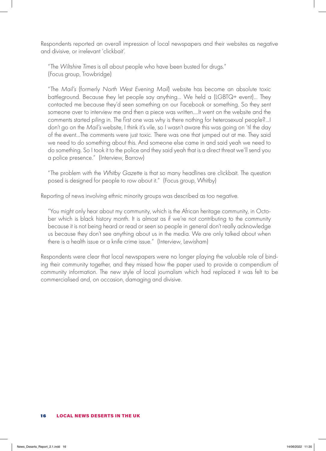Respondents reported an overall impression of local newspapers and their websites as negative and divisive, or irrelevant 'clickbait'.

"The *Wiltshire Times* is all about people who have been busted for drugs." (Focus group, Trowbridge)

"The *Mail's* (formerly *North West Evening Mail*) website has become an absolute toxic battleground. Because they let people say anything... We held a (LGBTQ+ event)... They contacted me because they'd seen something on our Facebook or something. So they sent someone over to interview me and then a piece was written….It went on the website and the comments started piling in. The first one was why is there nothing for heterosexual people?...I don't go on the *Mail's* website, I think it's vile, so I wasn't aware this was going on 'til the day of the event…The comments were just toxic. There was one that jumped out at me. They said we need to do something about this. And someone else came in and said yeah we need to do something. So I took it to the police and they said yeah that is a direct threat we'll send you a police presence." (Interview, Barrow)

"The problem with the *Whitby Gazette* is that so many headlines are clickbait. The question posed is designed for people to row about it." (Focus group, Whitby)

Reporting of news involving ethnic minority groups was described as too negative.

"You might only hear about my community, which is the African heritage community, in October which is black history month. It is almost as if we're not contributing to the community because it is not being heard or read or seen so people in general don't really acknowledge us because they don't see anything about us in the media. We are only talked about when there is a health issue or a knife crime issue." (Interview, Lewisham)

Respondents were clear that local newspapers were no longer playing the valuable role of binding their community together, and they missed how the paper used to provide a compendium of community information. The new style of local journalism which had replaced it was felt to be commercialised and, on occasion, damaging and divisive.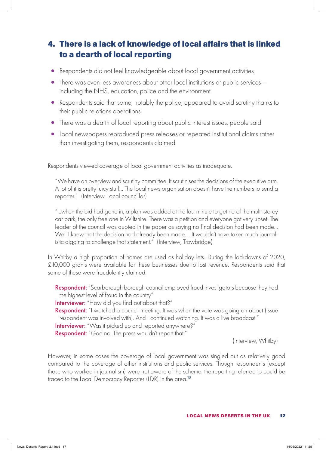# 4. There is a lack of knowledge of local affairs that is linked to a dearth of local reporting

- Respondents did not feel knowledgeable about local government activities
- There was even less awareness about other local institutions or public services including the NHS, education, police and the environment
- Respondents said that some, notably the police, appeared to avoid scrutiny thanks to their public relations operations
- There was a dearth of local reporting about public interest issues, people said
- Local newspapers reproduced press releases or repeated institutional claims rather than investigating them, respondents claimed

Respondents viewed coverage of local government activities as inadequate.

"We have an overview and scrutiny committee. It scrutinises the decisions of the executive arm. A lot of it is pretty juicy stuff… The local news organisation doesn't have the numbers to send a reporter." (Interview, Local councillor)

"…when the bid had gone in, a plan was added at the last minute to get rid of the multi-storey car park, the only free one in Wiltshire. There was a petition and everyone got very upset. The leader of the council was quoted in the paper as saying no final decision had been made… Well I knew that the decision had already been made…. It wouldn't have taken much journalistic digging to challenge that statement." (Interview, Trowbridge)

In Whitby a high proportion of homes are used as holiday lets. During the lockdowns of 2020, £10,000 grants were available for these businesses due to lost revenue. Respondents said that some of these were fraudulently claimed.

**Respondent:** "Scarborough borough council employed fraud investigators because they had the highest level of fraud in the country"

Interviewer: "How did you find out about that?"

**Respondent:** "I watched a council meeting. It was when the vote was going on about (issue respondent was involved with). And I continued watching. It was a live broadcast."

Interviewer: "Was it picked up and reported anywhere?"

Respondent: "God no. The press wouldn't report that."

(Interview, Whitby)

However, in some cases the coverage of local government was singled out as relatively good compared to the coverage of other institutions and public services. Though respondents (except those who worked in journalism) were not aware of the scheme, the reporting referred to could be traced to the Local Democracy Reporter (LDR) in the area.<sup>13</sup>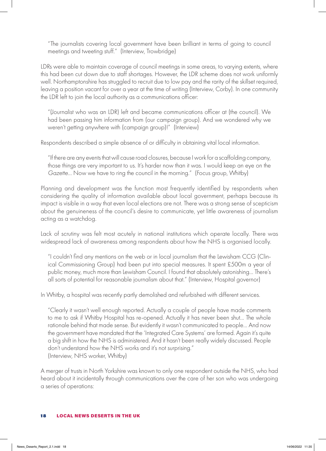"The journalists covering local government have been brilliant in terms of going to council meetings and tweeting stuff." (Interview, Trowbridge)

LDRs were able to maintain coverage of council meetings in some areas, to varying extents, where this had been cut down due to staff shortages. However, the LDR scheme does not work uniformly well. Northamptonshire has struggled to recruit due to low pay and the rarity of the skillset required, leaving a position vacant for over a year at the time of writing (Interview, Corby). In one community the LDR left to join the local authority as a communications officer:

"(Journalist who was an LDR) left and became communications officer at (the council). We had been passing him information from (our campaign group). And we wondered why we weren't getting anywhere with (campaign group)!" (Interview)

Respondents described a simple absence of or difficulty in obtaining vital local information.

"If there are any events that will cause road closures, because I work for a scaffolding company, those things are very important to us. It's harder now than it was. I would keep an eye on the *Gazette*... Now we have to ring the council in the morning." (Focus group, Whitby)

Planning and development was the function most frequently identified by respondents when considering the quality of information available about local government, perhaps because its impact is visible in a way that even local elections are not. There was a strong sense of scepticism about the genuineness of the council's desire to communicate, yet little awareness of journalism acting as a watchdog.

Lack of scrutiny was felt most acutely in national institutions which operate locally. There was widespread lack of awareness among respondents about how the NHS is organised locally.

"I couldn't find any mentions on the web or in local journalism that the Lewisham CCG (Clinical Commissioning Group) had been put into special measures. It spent £500m a year of public money, much more than Lewisham Council. I found that absolutely astonishing… There's all sorts of potential for reasonable journalism about that." (Interview, Hospital governor)

In Whitby, a hospital was recently partly demolished and refurbished with different services.

"Clearly it wasn't well enough reported. Actually a couple of people have made comments to me to ask if Whitby Hospital has re-opened. Actually it has never been shut... The whole rationale behind that made sense. But evidently it wasn't communicated to people… And now the government have mandated that the 'Integrated Care Systems' are formed. Again it's quite a big shift in how the NHS is administered. And it hasn't been really widely discussed. People don't understand how the NHS works and it's not surprising." (Interview, NHS worker, Whitby)

A merger of trusts in North Yorkshire was known to only one respondent outside the NHS, who had heard about it incidentally through communications over the care of her son who was undergoing a series of operations: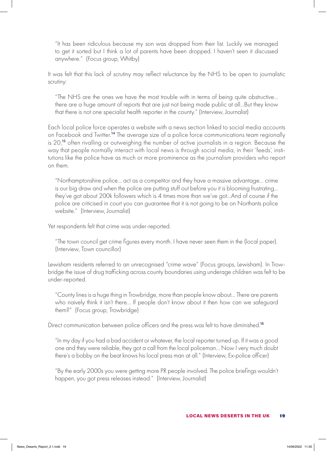"It has been ridiculous because my son was dropped from their list. Luckily we managed to get it sorted but I think a lot of parents have been dropped. I haven't seen it discussed anywhere." (Focus group, Whitby)

It was felt that this lack of scrutiny may reflect reluctance by the NHS to be open to journalistic scrutiny:

"The NHS are the ones we have the most trouble with in terms of being quite obstructive… there are a huge amount of reports that are just not being made public at all…But they know that there is not one specialist health reporter in the county." (Interview, Journalist)

Each local police force operates a website with a news section linked to social media accounts on Facebook and Twitter.<sup>14</sup> The average size of a police force communications team regionally is 20,<sup>15</sup> often rivalling or outweighing the number of active journalists in a region. Because the way that people normally interact with local news is through social media, in their 'feeds', institutions like the police have as much or more prominence as the journalism providers who report on them.

"Northamptonshire police… act as a competitor and they have a massive advantage… crime is our big draw and when the police are putting stuff out before you it is blooming frustrating… they've got about 200k followers which is 4 times more than we've got…And of course if the police are criticised in court you can guarantee that it is not going to be on Northants police website." (Interview, Journalist)

Yet respondents felt that crime was under-reported.

"The town council get crime figures every month. I have never seen them in the (local paper). (Interview, Town councillor)

Lewisham residents referred to an unrecognised "crime wave" (Focus groups, Lewisham). In Trowbridge the issue of drug trafficking across county boundaries using underage children was felt to be under-reported.

"County lines is a huge thing in Trowbridge, more than people know about… There are parents who naively think it isn't there… If people don't know about it then how can we safeguard them?" (Focus group, Trowbridge)

Direct communication between police officers and the press was felt to have diminished.<sup>16</sup>

"In my day if you had a bad accident or whatever, the local reporter turned up. If it was a good one and they were reliable, they got a call from the local policeman… Now I very much doubt there's a bobby on the beat knows his local press man at all." (Interview, Ex-police officer)

"By the early 2000s you were getting more PR people involved. The police briefings wouldn't happen, you got press releases instead." (Interview, Journalist)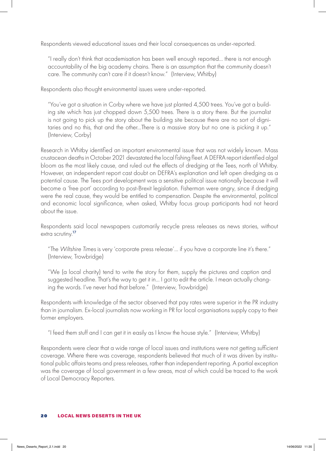Respondents viewed educational issues and their local consequences as under-reported.

"I really don't think that academisation has been well enough reported… there is not enough accountability of the big academy chains. There is an assumption that the community doesn't care. The community can't care if it doesn't know." (Interview, Whitby)

Respondents also thought environmental issues were under-reported.

"You've got a situation in Corby where we have just planted 4,500 trees. You've got a building site which has just chopped down 5,500 trees. There is a story there. But the journalist is not going to pick up the story about the building site because there are no sort of dignitaries and no this, that and the other…There is a massive story but no one is picking it up." (Interview, Corby)

Research in Whitby identified an important environmental issue that was not widely known. Mass crustacean deaths in October 2021 devastated the local fishing fleet. A DEFRA report identified algal bloom as the most likely cause, and ruled out the effects of dredging at the Tees, north of Whitby. However, an independent report cast doubt on DEFRA's explanation and left open dredging as a potential cause. The Tees port development was a sensitive political issue nationally because it will become a 'free port' according to post-Brexit legislation. Fisherman were angry, since if dredging were the real cause, they would be entitled to compensation. Despite the environmental, political and economic local significance, when asked, Whitby focus group participants had not heard about the issue.

Respondents said local newspapers customarily recycle press releases as news stories, without extra scrutiny.<sup>17</sup>

"The *Wiltshire Times* is very 'corporate press release'… if you have a corporate line it's there." (Interview, Trowbridge)

"We (a local charity) tend to write the story for them, supply the pictures and caption and suggested headline. That's the way to get it in… I got to edit the article. I mean actually changing the words. I've never had that before." (Interview, Trowbridge)

Respondents with knowledge of the sector observed that pay rates were superior in the PR industry than in journalism. Ex-local journalists now working in PR for local organisations supply copy to their former employers.

"I feed them stuff and I can get it in easily as I know the house style." (Interview, Whitby)

Respondents were clear that a wide range of local issues and institutions were not getting sufficient coverage. Where there was coverage, respondents believed that much of it was driven by institutional public affairs teams and press releases, rather than independent reporting. A partial exception was the coverage of local government in a few areas, most of which could be traced to the work of Local Democracy Reporters.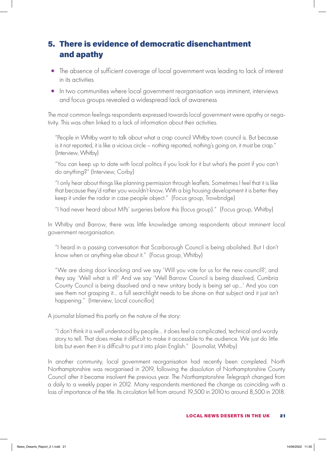# 5. There is evidence of democratic disenchantment and apathy

- The absence of sufficient coverage of local government was leading to lack of interest in its activities
- In two communities where local government reorganisation was imminent, interviews and focus groups revealed a widespread lack of awareness

The most common feelings respondents expressed towards local government were apathy or negativity. This was often linked to a lack of information about their activities.

"People in Whitby want to talk about what a crap council Whitby town council is. But because is it not reported, it is like a vicious circle – nothing reported, nothing's going on, it must be crap." (Interview, Whitby)

"You can keep up to date with local politics if you look for it but what's the point if you can't do anything?" (Interview, Corby)

"I only hear about things like planning permission through leaflets. Sometimes I feel that it is like that because they'd rather you wouldn't know. With a big housing development it is better they keep it under the radar in case people object." (Focus group, Trowbridge)

"I had never heard about MPs' surgeries before this (focus group)." (Focus group, Whitby)

In Whitby and Barrow, there was little knowledge among respondents about imminent local government reorganisation.

"I heard in a passing conversation that Scarborough Council is being abolished. But I don't know when or anything else about it." (Focus group, Whitby)

"We are doing door knocking and we say 'Will you vote for us for the new council?', and they say 'Well what is it?' And we say 'Well Barrow Council is being dissolved, Cumbria County Council is being dissolved and a new unitary body is being set up…' And you can see them not grasping it… a full searchlight needs to be shone on that subject and it just isn't happening." (Interview, Local councillor)

A journalist blamed this partly on the nature of the story:

"I don't think it is well understood by people… it does feel a complicated, technical and wordy story to tell. That does make it difficult to make it accessible to the audience. We just do little bits but even then it is difficult to put it into plain English." (Journalist, Whitby)

In another community, local government reorganisation had recently been completed. North Northamptonshire was reorganised in 2019, following the dissolution of Northamptonshire County Council after it became insolvent the previous year. The *Northamptonshire Telegraph* changed from a daily to a weekly paper in 2012. Many respondents mentioned the change as coinciding with a loss of importance of the title. Its circulation fell from around 19,500 in 2010 to around 8,500 in 2018.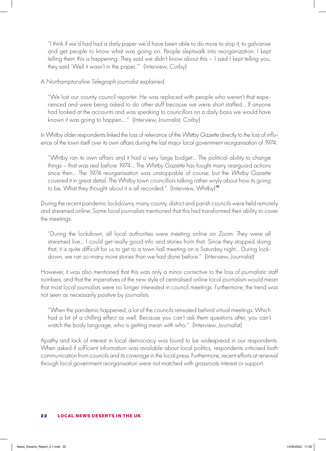"I think if we'd had had a daily paper we'd have been able to do more to stop it, to galvanise and get people to know what was going on. People sleptwalk into reorganization. I kept telling them this is happening. They said we didn't know about this – I said I kept telling you, they said 'Well it wasn't in the paper.'" (Interview, Corby)

A *Northamptonshire Telegraph* journalist explained:

"We lost our county council reporter. He was replaced with people who weren't that experienced and were being asked to do other stuff because we were short staffed… If anyone had looked at the accounts and was speaking to councillors on a daily basis we would have known it was going to happen…." (Interview, Journalist, Corby)

In Whitby older respondents linked the loss of relevance of the *Whitby Gazette* directly to the loss of influence of the town itself over its own affairs during the last major local government reorganisation of 1974.

"Whitby ran its own affairs and it had a very large budget… The political ability to change things – that was real before 1974… The *Whitby Gazette* has fought many rearguard actions since then… The 1974 reorganisation was unstoppable of course, but the *Whitby Gazette* covered it in great detail. The Whitby town councillors talking rather wryly about how its going to be. What they thought about it is all recorded." (Interview, Whitby)<sup>18</sup>

During the recent pandemic lockdowns, many county, district and parish councils were held remotely and streamed online. Some local journalists mentioned that this had transformed their ability to cover the meetings.

"During the lockdown, all local authorities were meeting online on Zoom. They were all streamed live… I could get really good info and stories from that. Since they stopped doing that, it is quite difficult for us to get to a town hall meeting on a Saturday night… During lockdown, we ran so many more stories than we had done before." (Interview, Journalist)

However, it was also mentioned that this was only a minor corrective to the loss of journalistic staff numbers, and that the imperatives of the new style of centralised online local journalism would mean that most local journalists were no longer interested in council meetings. Furthermore, the trend was not seen as necessarily positive by journalists.

"When the pandemic happened, a lot of the councils retreated behind virtual meetings. Which had a bit of a chilling effect as well. Because you can't ask them questions after, you can't watch the body language, who is getting mean with who." (Interview, Journalist)

Apathy and lack of interest in local democracy was found to be widespread in our respondents. When asked if sufficient information was available about local politics, respondents criticised both communication from councils and its coverage in the local press. Furthermore, recent efforts at renewal through local government reorganisation were not matched with grassroots interest or support.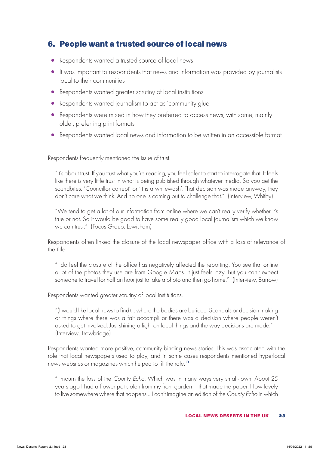### 6. People want a trusted source of local news

- Respondents wanted a trusted source of local news
- It was important to respondents that news and information was provided by journalists local to their communities
- Respondents wanted greater scrutiny of local institutions
- Respondents wanted journalism to act as 'community glue'
- Respondents were mixed in how they preferred to access news, with some, mainly older, preferring print formats
- Respondents wanted local news and information to be written in an accessible format

Respondents frequently mentioned the issue of trust.

"It's about trust. If you trust what you're reading, you feel safer to start to interrogate that. It feels like there is very little trust in what is being published through whatever media. So you get the soundbites. 'Councillor corrupt' or 'it is a whitewash'. That decision was made anyway, they don't care what we think. And no one is coming out to challenge that." (Interview, Whitby)

"We tend to get a lot of our information from online where we can't really verify whether it's true or not. So it would be good to have some really good local journalism which we know we can trust." (Focus Group, Lewisham)

Respondents often linked the closure of the local newspaper office with a loss of relevance of the title.

"I do feel the closure of the office has negatively affected the reporting. You see that online a lot of the photos they use are from Google Maps. It just feels lazy. But you can't expect someone to travel for half an hour just to take a photo and then go home." (Interview, Barrow)

Respondents wanted greater scrutiny of local institutions.

"(I would like local news to find)… where the bodies are buried… Scandals or decision making or things where there was a fait accompli or there was a decision where people weren't asked to get involved. Just shining a light on local things and the way decisions are made." (Interview, Trowbridge)

Respondents wanted more positive, community binding news stories. This was associated with the role that local newspapers used to play, and in some cases respondents mentioned hyperlocal news websites or magazines which helped to fill the role.<sup>19</sup>

"I mourn the loss of the *County Echo*. Which was in many ways very small-town. About 25 years ago I had a flower pot stolen from my front garden – that made the paper. How lovely to live somewhere where that happens… I can't imagine an edition of the *County Echo* in which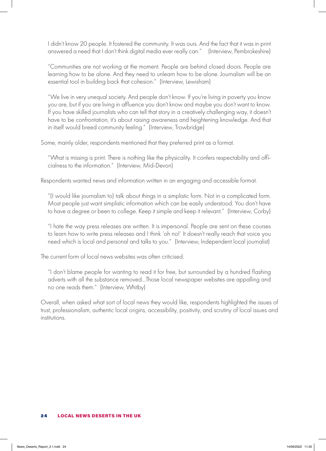I didn't know 20 people. It fostered the community. It was ours. And the fact that it was in print answered a need that I don't think digital media ever really can." (Interview, Pembrokeshire)

"Communities are not working at the moment. People are behind closed doors. People are learning how to be alone. And they need to unlearn how to be alone. Journalism will be an essential tool in building back that cohesion." (Interview, Lewisham)

"We live in very unequal society. And people don't know. If you're living in poverty you know you are, but if you are living in affluence you don't know and maybe you don't want to know. If you have skilled journalists who can tell that story in a creatively challenging way, it doesn't have to be confrontation, it's about raising awareness and heightening knowledge. And that in itself would breed community feeling." (Interview, Trowbridge)

Some, mainly older, respondents mentioned that they preferred print as a format.

"What is missing is print. There is nothing like the physicality. It confers respectability and officialness to the information." (Interview, Mid-Devon)

Respondents wanted news and information written in an engaging and accessible format.

"(I would like journalism to) talk about things in a simplistic form. Not in a complicated form. Most people just want simplistic information which can be easily understood. You don't have to have a degree or been to college. Keep it simple and keep it relevant." (Interview, Corby)

"I hate the way press releases are written. It is impersonal. People are sent on these courses to learn how to write press releases and I think 'oh no!' It doesn't really reach that voice you need which is local and personal and talks to you." (Interview, Independent local journalist)

The current form of local news websites was often criticised.

"I don't blame people for wanting to read it for free, but surrounded by a hundred flashing adverts with all the substance removed…Those local newspaper websites are appalling and no one reads them." (Interview, Whitby)

Overall, when asked what sort of local news they would like, respondents highlighted the issues of trust, professionalism, authentic local origins, accessibility, positivity, and scrutiny of local issues and institutions.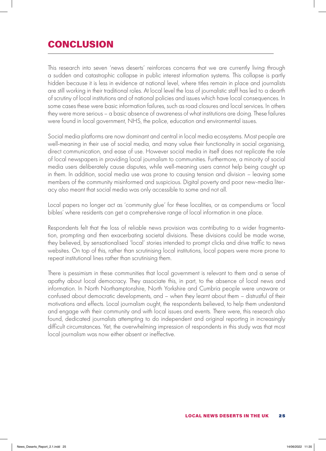# **CONCLUSION**

This research into seven 'news deserts' reinforces concerns that we are currently living through a sudden and catastrophic collapse in public interest information systems. This collapse is partly hidden because it is less in evidence at national level, where titles remain in place and journalists are still working in their traditional roles. At local level the loss of journalistic staff has led to a dearth of scrutiny of local institutions and of national policies and issues which have local consequences. In some cases these were basic information failures, such as road closures and local services. In others they were more serious – a basic absence of awareness of what institutions are doing. These failures were found in local government, NHS, the police, education and environmental issues.

Social media platforms are now dominant and central in local media ecosystems. Most people are well-meaning in their use of social media, and many value their functionality in social organising, direct communication, and ease of use. However social media in itself does not replicate the role of local newspapers in providing local journalism to communities. Furthermore, a minority of social media users deliberately cause disputes, while well-meaning users cannot help being caught up in them. In addition, social media use was prone to causing tension and division – leaving some members of the community misinformed and suspicious. Digital poverty and poor new-media literacy also meant that social media was only accessible to some and not all.

Local papers no longer act as 'community glue' for these localities, or as compendiums or 'local bibles' where residents can get a comprehensive range of local information in one place.

Respondents felt that the loss of reliable news provision was contributing to a wider fragmentation, prompting and then exacerbating societal divisions. These divisions could be made worse, they believed, by sensationalised 'local' stories intended to prompt clicks and drive traffic to news websites. On top of this, rather than scrutinising local institutions, local papers were more prone to repeat institutional lines rather than scrutinising them.

There is pessimism in these communities that local government is relevant to them and a sense of apathy about local democracy. They associate this, in part, to the absence of local news and information. In North Northamptonshire, North Yorkshire and Cumbria people were unaware or confused about democratic developments, and – when they learnt about them – distrustful of their motivations and effects. Local journalism ought, the respondents believed, to help them understand and engage with their community and with local issues and events. There were, this research also found, dedicated journalists attempting to do independent and original reporting in increasingly difficult circumstances. Yet, the overwhelming impression of respondents in this study was that most local journalism was now either absent or ineffective.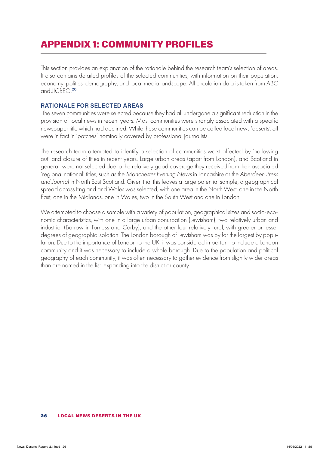# APPENDIX 1: COMMUNITY PROFILES

This section provides an explanation of the rationale behind the research team's selection of areas. It also contains detailed profiles of the selected communities, with information on their population, economy, politics, demography, and local media landscape. All circulation data is taken from ABC and JICREG.<sup>20</sup>

#### **RATIONALE FOR SELECTED AREAS**

 The seven communities were selected because they had all undergone a significant reduction in the provision of local news in recent years. Most communities were strongly associated with a specific newspaper title which had declined. While these communities can be called local news 'deserts', all were in fact in 'patches' nominally covered by professional journalists.

The research team attempted to identify a selection of communities worst affected by 'hollowing out' and closure of titles in recent years. Large urban areas (apart from London), and Scotland in general, were not selected due to the relatively good coverage they received from their associated 'regional national' titles, such as the *Manchester Evening News* in Lancashire or the *Aberdeen Press and Journal* in North East Scotland. Given that this leaves a large potential sample, a geographical spread across England and Wales was selected, with one area in the North West, one in the North East, one in the Midlands, one in Wales, two in the South West and one in London.

We attempted to choose a sample with a variety of population, geographical sizes and socio-economic characteristics, with one in a large urban conurbation (Lewisham), two relatively urban and industrial (Barrow-in-Furness and Corby), and the other four relatively rural, with greater or lesser degrees of geographic isolation. The London borough of Lewisham was by far the largest by population. Due to the importance of London to the UK, it was considered important to include a London community and it was necessary to include a whole borough. Due to the population and political geography of each community, it was often necessary to gather evidence from slightly wider areas than are named in the list, expanding into the district or county.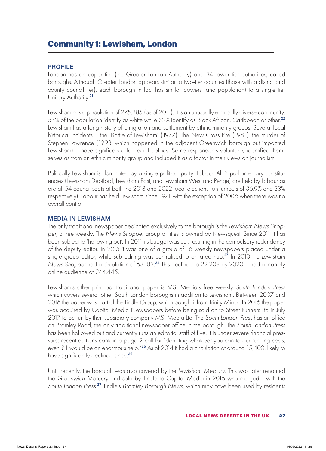### Community 1: Lewisham, London

#### **PROFILE**

London has an upper tier (the Greater London Authority) and 34 lower tier authorities, called boroughs. Although Greater London appears similar to two-tier counties (those with a district and county council tier), each borough in fact has similar powers (and population) to a single tier Unitary Authority.<sup>21</sup>

Lewisham has a population of 275,885 (as of 2011). It is an unusually ethnically diverse community. 57% of the population identify as white while 32% identify as Black African, Caribbean or other.<sup>22</sup> Lewisham has a long history of emigration and settlement by ethnic minority groups. Several local historical incidents – the 'Battle of Lewisham' (1977), The New Cross Fire (1981), the murder of Stephen Lawrence (1993, which happened in the adjacent Greenwich borough but impacted Lewisham) – have significance for racial politics. Some respondents voluntarily identified themselves as from an ethnic minority group and included it as a factor in their views on journalism.

Politically Lewisham is dominated by a single political party: Labour. All 3 parliamentary constituencies (Lewisham Deptford, Lewisham East, and Lewisham West and Penge) are held by Labour as are all 54 council seats at both the 2018 and 2022 local elections (on turnouts of 36.9% and 33% respectively). Labour has held Lewisham since 1971 with the exception of 2006 when there was no overall control.

#### **MEDIA IN LEWISHAM**

The only traditional newspaper dedicated exclusively to the borough is the *Lewisham News Shopper*, a free weekly. The *News Shopper* group of titles is owned by Newsquest. Since 2011 it has been subject to 'hollowing out'. In 2011 its budget was cut, resulting in the compulsory redundancy of the deputy editor. In 2015 it was one of a group of 16 weekly newspapers placed under a single group editor, while sub editing was centralised to an area hub.<sup>23</sup> In 2010 the *Lewisham News Shopper* had a circulation of 63,183.<sup>24</sup> This declined to 22,208 by 2020. It had a monthly online audience of 244,445.

Lewisham's other principal traditional paper is MSI Media's free weekly *South London Press* which covers several other South London boroughs in addition to Lewisham. Between 2007 and 2016 the paper was part of the Tindle Group, which bought it from Trinity Mirror. In 2016 the paper was acquired by Capital Media Newspapers before being sold on to Street Runners Ltd in July 2017 to be run by their subsidiary company MSI Media Ltd. The *South London Press* has an office on Bromley Road, the only traditional newspaper office in the borough. The *South London Press*  has been hollowed out and currently runs an editorial staff of five. It is under severe financial pressure: recent editions contain a page 2 call for "donating whatever you can to our running costs, even £1 would be an enormous help."<sup>25</sup> As of 2014 it had a circulation of around 15,400, likely to have significantly declined since.<sup>26</sup>

Until recently, the borough was also covered by the *Lewisham Mercury*. This was later renamed the *Greenwich Mercury* and sold by Tindle to Capital Media in 2016 who merged it with the *South London Press*. <sup>27</sup> Tindle's *Bromley Borough News*, which may have been used by residents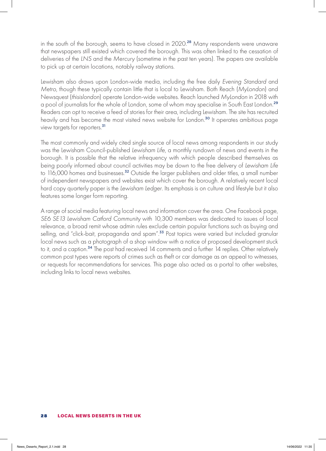in the south of the borough, seems to have closed in 2020.<sup>28</sup> Many respondents were unaware that newspapers still existed which covered the borough. This was often linked to the cessation of deliveries of the *LNS* and the *Mercury* (sometime in the past ten years). The papers are available to pick up at certain locations, notably railway stations.

Lewisham also draws upon London-wide media, including the free daily *Evening Standard* and *Metro*, though these typically contain little that is local to Lewisham. Both Reach (*MyLondon*) and Newsquest (*thisislondon*) operate London-wide websites. Reach launched *MyLondon* in 2018 with a pool of journalists for the whole of London, some of whom may specialise in South East London.<sup>29</sup> Readers can opt to receive a feed of stories for their area, including Lewisham. The site has recruited heavily and has become the most visited news website for London.<sup>30</sup> It operates ambitious page view targets for reporters.<sup>31</sup>

The most commonly and widely cited single source of local news among respondents in our study was the Lewisham Council-published *Lewisham Life*, a monthly rundown of news and events in the borough. It is possible that the relative infrequency with which people described themselves as being poorly informed about council activities may be down to the free delivery of *Lewisham Life* to 116,000 homes and businesses.<sup>32</sup> Outside the larger publishers and older titles, a small number of independent newspapers and websites exist which cover the borough. A relatively recent local hard copy quarterly paper is the *Lewisham Ledger*. Its emphasis is on culture and lifestyle but it also features some longer form reporting.

A range of social media featuring local news and information cover the area. One Facebook page, *SE6 SE13 Lewisham Catford Community* with 10,300 members was dedicated to issues of local relevance, a broad remit whose admin rules exclude certain popular functions such as buying and selling, and "click-bait, propaganda and spam".<sup>33</sup> Post topics were varied but included granular local news such as a photograph of a shop window with a notice of proposed development stuck to it, and a caption.<sup>34</sup> The post had received 14 comments and a further 14 replies. Other relatively common post types were reports of crimes such as theft or car damage as an appeal to witnesses, or requests for recommendations for services. This page also acted as a portal to other websites, including links to local news websites.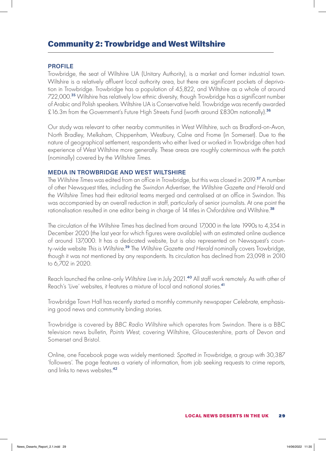### Community 2: Trowbridge and West Wiltshire

#### **PROFILE**

Trowbridge, the seat of Wiltshire UA (Unitary Authority), is a market and former industrial town. Wiltshire is a relatively affluent local authority area, but there are significant pockets of deprivation in Trowbridge. Trowbridge has a population of 45,822, and Wiltshire as a whole of around 722,000.<sup>35</sup> Wiltshire has relatively low ethnic diversity, though Trowbridge has a significant number of Arabic and Polish speakers. Wiltshire UA is Conservative held. Trowbridge was recently awarded £16.3m from the Government's Future High Streets Fund (worth around £830m nationally).<sup>36</sup>

Our study was relevant to other nearby communities in West Wiltshire, such as Bradford-on-Avon, North Bradley, Melksham, Chippenham, Westbury, Calne and Frome (in Somerset). Due to the nature of geographical settlement, respondents who either lived or worked in Trowbridge often had experience of West Wiltshire more generally. These areas are roughly coterminous with the patch (nominally) covered by the *Wiltshire Times*.

#### **MEDIA IN TROWBRIDGE AND WEST WILTSHIRE**

The *Wiltshire Times* was edited from an office in Trowbridge, but this was closed in 2019.<sup>37</sup> A number of other Newsquest titles, including the *Swindon Advertiser*, the *Wiltshire Gazette and Herald* and the *Wiltshire Times* had their editorial teams merged and centralised at an office in Swindon. This was accompanied by an overall reduction in staff, particularly of senior journalists. At one point the rationalisation resulted in one editor being in charge of 14 titles in Oxfordshire and Wiltshire.<sup>38</sup>

The circulation of the *Wiltshire Times* has declined from around 17,000 in the late 1990s to 4,354 in December 2020 (the last year for which figures were available) with an estimated online audience of around 137,000. It has a dedicated website, but is also represented on Newsquest's county-wide website *This is Wiltshire.*<sup>39</sup> The *Wiltshire Gazette and Herald* nominally covers Trowbridge, though it was not mentioned by any respondents. Its circulation has declined from 23,098 in 2010 to 6,702 in 2020.

Reach launched the online-only *Wiltshire Live* in July 2021.<sup>40</sup> All staff work remotely. As with other of Reach's 'Live' websites, it features a mixture of local and national stories.<sup>41</sup>

Trowbridge Town Hall has recently started a monthly community newspaper *Celebrate*, emphasising good news and community binding stories.

Trowbridge is covered by *BBC Radio Wiltshire* which operates from Swindon. There is a BBC television news bulletin, *Points West*, covering Wiltshire, Gloucestershire, parts of Devon and Somerset and Bristol.

Online, one Facebook page was widely mentioned: *Spotted in Trowbridge*, a group with 30,387 'followers'. The page features a variety of information, from job seeking requests to crime reports, and links to news websites.<sup>42</sup>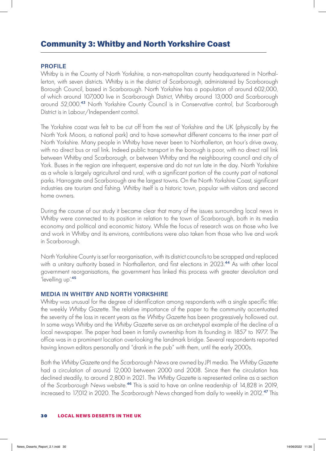### Community 3: Whitby and North Yorkshire Coast

#### **PROFILE**

Whitby is in the County of North Yorkshire, a non-metropolitan county headquartered in Northallerton, with seven districts. Whitby is in the district of Scarborough, administered by Scarborough Borough Council, based in Scarborough. North Yorkshire has a population of around 602,000, of which around 107,000 live in Scarborough District, Whitby around 13,000 and Scarborough around 52,000.<sup>43</sup> North Yorkshire County Council is in Conservative control, but Scarborough District is in Labour/Independent control.

The Yorkshire coast was felt to be cut off from the rest of Yorkshire and the UK (physically by the North York Moors, a national park) and to have somewhat different concerns to the inner part of North Yorkshire. Many people in Whitby have never been to Northallerton, an hour's drive away, with no direct bus or rail link. Indeed public transport in the borough is poor, with no direct rail link between Whitby and Scarborough, or between Whitby and the neighbouring council and city of York. Buses in the region are infrequent, expensive and do not run late in the day. North Yorkshire as a whole is largely agricultural and rural, with a significant portion of the county part of national parks. Harrogate and Scarborough are the largest towns. On the North Yorkshire Coast, significant industries are tourism and fishing. Whitby itself is a historic town, popular with visitors and second home owners.

During the course of our study it became clear that many of the issues surrounding local news in Whitby were connected to its position in relation to the town of Scarborough, both in its media economy and political and economic history. While the focus of research was on those who live and work in Whitby and its environs, contributions were also taken from those who live and work in Scarborough.

North Yorkshire County is set for reorganisation, with its district councils to be scrapped and replaced with a unitary authority based in Northallerton, and first elections in 2023.<sup>44</sup> As with other local government reorganisations, the government has linked this process with greater devolution and 'levelling up'.<sup>45</sup>

#### **MEDIA IN WHITBY AND NORTH YORKSHIRE**

Whitby was unusual for the degree of identification among respondents with a single specific title: the weekly *Whitby Gazette*. The relative importance of the paper to the community accentuated the severity of the loss in recent years as the *Whitby Gazette* has been progressively hollowed out. In some ways Whitby and the *Whitby Gazette* serve as an archetypal example of the decline of a local newspaper. The paper had been in family ownership from its founding in 1857 to 1977. The office was in a prominent location overlooking the landmark bridge. Several respondents reported having known editors personally and "drank in the pub" with them, until the early 2000s.

Both the *Whitby Gazette* and the *Scarborough News* are owned by JPI media. The *Whitby Gazette* had a circulation of around 12,000 between 2000 and 2008. Since then the circulation has declined steadily, to around 2,800 in 2021. The *Whitby Gazette* is represented online as a section of the *Scarborough News* website.<sup>46</sup> This is said to have an online readership of 14,828 in 2019, increased to 17,012 in 2020. The *Scarborough News* changed from daily to weekly in 2012.<sup>47</sup> This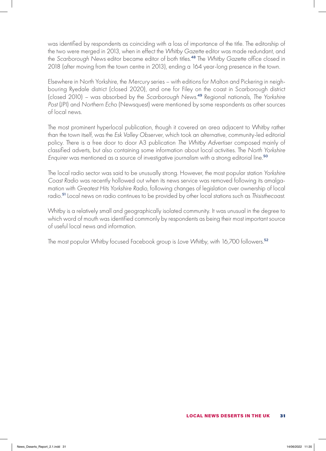was identified by respondents as coinciding with a loss of importance of the title. The editorship of the two were merged in 2013, when in effect the *Whitby Gazette* editor was made redundant, and the *Scarborough News* editor became editor of both titles.<sup>48</sup> The *Whitby Gazette* office closed in 2018 (after moving from the town centre in 2013), ending a 164 year-long presence in the town.

Elsewhere in North Yorkshire, the *Mercury* series – with editions for Malton and Pickering in neighbouring Ryedale district (closed 2020), and one for Filey on the coast in Scarborough district (closed 2010) – was absorbed by the *Scarborough News*. <sup>49</sup> Regional nationals, *The Yorkshire Post* (JPI) and *Northern Echo* (Newsquest) were mentioned by some respondents as other sources of local news.

The most prominent hyperlocal publication, though it covered an area adjacent to Whitby rather than the town itself, was the *Esk Valley Observer*, which took an alternative, community-led editorial policy. There is a free door to door A3 publication *The Whitby Advertiser* composed mainly of classified adverts, but also containing some information about local activities. The *North Yorkshire Enquirer* was mentioned as a source of investigative journalism with a strong editorial line.<sup>50</sup>

The local radio sector was said to be unusually strong. However, the most popular station *Yorkshire Coast Radio* was recently hollowed out when its news service was removed following its amalgamation with *Greatest Hits Yorkshire Radio*, following changes of legislation over ownership of local radio.<sup>51</sup> Local news on radio continues to be provided by other local stations such as *Thisisthecoast*.

Whitby is a relatively small and geographically isolated community. It was unusual in the degree to which word of mouth was identified commonly by respondents as being their most important source of useful local news and information.

The most popular Whitby focused Facebook group is *Love Whitby*, with 16,700 followers.<sup>52</sup>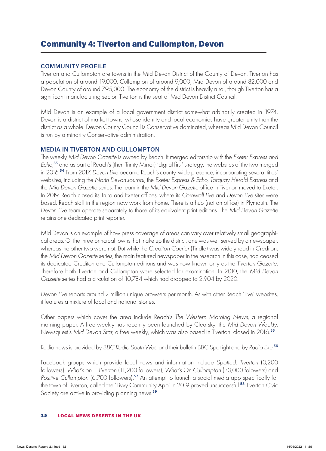### Community 4: Tiverton and Cullompton, Devon

#### **COMMUNITY PROFILE**

Tiverton and Cullompton are towns in the Mid Devon District of the County of Devon. Tiverton has a population of around 19,000, Cullompton of around 9,000, Mid Devon of around 82,000 and Devon County of around 795,000. The economy of the district is heavily rural, though Tiverton has a significant manufacturing sector. Tiverton is the seat of Mid Devon District Council.

Mid Devon is an example of a local government district somewhat arbitrarily created in 1974. Devon is a district of market towns, whose identity and local economies have greater unity than the district as a whole. Devon County Council is Conservative dominated, whereas Mid Devon Council is run by a minority Conservative administration.

#### **MEDIA IN TIVERTON AND CULLOMPTON**

The weekly *Mid Devon Gazette* is owned by Reach. It merged editorship with the *Exeter Express and Echo*, <sup>53</sup> and as part of Reach's (then Trinity Mirror) 'digital first' strategy, the websites of the two merged in 2016.<sup>54</sup> From 2017, *Devon Live* became Reach's county-wide presence, incorporating several titles' websites, including the *North Devon Journal*, the *Exeter Express & Echo*, *Torquay Herald Express* and the *Mid Devon Gazette* series. The team in the *Mid Devon Gazette* office in Tiverton moved to Exeter. In 2019, Reach closed its Truro and Exeter offices, where its *Cornwall Live* and *Devon Live* sites were based. Reach staff in the region now work from home. There is a hub (not an office) in Plymouth. The *Devon Live* team operate separately to those of its equivalent print editions. The *Mid Devon Gazette*  retains one dedicated print reporter.

Mid Devon is an example of how press coverage of areas can vary over relatively small geographical areas. Of the three principal towns that make up the district, one was well served by a newspaper, whereas the other two were not. But while the *Crediton Courier* (Tindle) was widely read in Crediton, the *Mid Devon Gazette* series, the main featured newspaper in the research in this case, had ceased its dedicated Crediton and Cullompton editions and was now known only as the *Tiverton Gazette*. Therefore both Tiverton and Cullompton were selected for examination. In 2010, the *Mid Devon Gazette* series had a circulation of 10,784 which had dropped to 2,904 by 2020.

*Devon Live* reports around 2 million unique browsers per month. As with other Reach 'Live' websites, it features a mixture of local and national stories.

Other papers which cover the area include Reach's *The Western Morning News*, a regional morning paper. A free weekly has recently been launched by Clearsky: the *Mid Devon Weekly*. Newsquest's *Mid Devon Star*, a free weekly, which was also based in Tiverton, closed in 2016.<sup>55</sup>

Radio news is provided by *BBC Radio South West* and their bulletin BBC Spotlight and by *Radio Exe*. 56

Facebook groups which provide local news and information include *Spotted: Tiverton* (3,200 followers), *What's on – Tiverton* (11,200 followers), *What's On Cullompton* (33,000 folowers) and *Positive Cullompton (6,700 followers).<sup>57</sup> An attempt to launch a social media app specifically for* the town of Tiverton, called the 'Tivvy Community App' in 2019 proved unsuccessful.<sup>58</sup> Tiverton Civic Society are active in providing planning news.<sup>59</sup>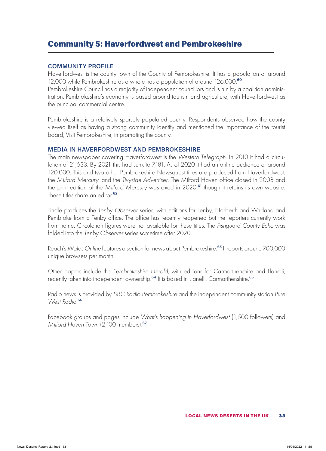# Community 5: Haverfordwest and Pembrokeshire

#### **COMMUNITY PROFILE**

Haverfordwest is the county town of the County of Pembrokeshire. It has a population of around 12,000 while Pembrokeshire as a whole has a population of around 126,000.<sup>60</sup>

Pembrokeshire Council has a majority of independent councillors and is run by a coalition administration. Pembrokeshire's economy is based around tourism and agriculture, with Haverfordwest as the principal commercial centre.

Pembrokeshire is a relatively sparsely populated county. Respondents observed how the county viewed itself as having a strong community identity and mentioned the importance of the tourist board, Visit Pembrokeshire, in promoting the county.

#### **MEDIA IN HAVERFORDWEST AND PEMBROKESHIRE**

The main newspaper covering Haverfordwest is the *Western Telegraph*. In 2010 it had a circulation of 21,633. By 2021 this had sunk to 7,181. As of 2020 it had an online audience of around 120,000. This and two other Pembrokeshire Newsquest titles are produced from Haverfordwest: the *Milford Mercury*, and the *Tivyside Advertiser*. The Milford Haven office closed in 2008 and the print edition of the Milford Mercury was axed in 2020,<sup>61</sup> though it retains its own website. These titles share an editor.<sup>62</sup>

Tindle produces the *Tenby Observer* series, with editions for Tenby, Narberth and Whitland and Pembroke from a Tenby office. The office has recently reopened but the reporters currently work from home. Circulation figures were not available for these titles. The *Fishguard County Echo* was folded into the *Tenby Observer* series sometime after 2020.

Reach's Wales Online features a section for news about Pembrokeshire.<sup>63</sup> It reports around 700,000 unique browsers per month.

Other papers include the *Pembrokeshire Herald*, with editions for Carmarthenshire and Llanelli, recently taken into independent ownership.<sup>64</sup> It is based in Llanelli, Carmarthenshire.<sup>65</sup>

Radio news is provided by *BBC Radio Pembrokeshire* and the independent community station *Pure West Radio*. 66

Facebook groups and pages include *What's happening in Haverfordwest* (1,500 followers) and *Milford Haven Town (2,100 members).*<sup>67</sup>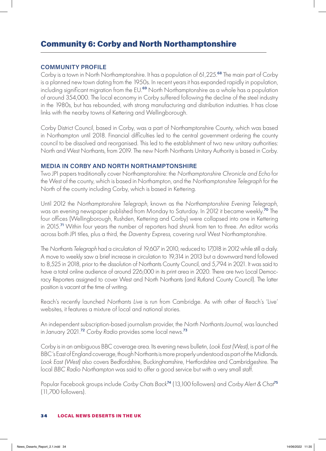## Community 6: Corby and North Northamptonshire

#### **COMMUNITY PROFILE**

Corby is a town in North Northamptonshire. It has a population of 61,225.<sup>68</sup> The main part of Corby is a planned new town dating from the 1950s. In recent years it has expanded rapidly in population, including significant migration from the EU.<sup>69</sup> North Northamptonshire as a whole has a population of around 354,000. The local economy in Corby suffered following the decline of the steel industry in the 1980s, but has rebounded, with strong manufacturing and distribution industries. It has close links with the nearby towns of Kettering and Wellingborough.

Corby District Council, based in Corby, was a part of Northamptonshire County, which was based in Northampton until 2018. Financial difficulties led to the central government ordering the county council to be dissolved and reorganised. This led to the establishment of two new unitary authorities: North and West Northants, from 2019. The new North Northants Unitary Authority is based in Corby.

#### **MEDIA IN CORBY AND NORTH NORTHAMPTONSHIRE**

Two JPI papers traditionally cover Northamptonshire: the *Northamptonshire Chronicle and Echo* for the West of the county, which is based in Northampton, and the *Northamptonshire Telegraph* for the North of the county including Corby, which is based in Kettering.

Until 2012 the *Northamptonshire Telegraph*, known as the *Northamptonshire Evening Telegraph*, was an evening newspaper published from Monday to Saturday. In 2012 it became weekly.<sup>70</sup> The four offices (Wellingborough, Rushden, Kettering and Corby) were collapsed into one in Kettering in 2015.<sup>71</sup> Within four years the number of reporters had shrunk from ten to three. An editor works across both JPI titles, plus a third, the *Daventry Express*, covering rural West Northamptonshire.

The *Northants Telegraph* had a circulation of 19,607 in 2010, reduced to 17,018 in 2012 while still a daily. A move to weekly saw a brief increase in circulation to 19,314 in 2013 but a downward trend followed to 8,525 in 2018, prior to the dissolution of Northants County Council, and 5,794 in 2021. It was said to have a total online audience of around 226,000 in its print area in 2020. There are two Local Democracy Reporters assigned to cover West and North Northants (and Rutland County Council). The latter position is vacant at the time of writing.

Reach's recently launched *Northants Live* is run from Cambridge. As with other of Reach's 'Live' websites, it features a mixture of local and national stories.

An independent subscription-based journalism provider, the *North Northants Journal,* was launched in January 2021.<sup>72</sup> *Corby Radio* provides some local news.<sup>73</sup>

Corby is in an ambiguous BBC coverage area. Its evening news bulletin, *Look East (West)*, is part of the BBC's East of England coverage, though Northants is more properly understood as part of the Midlands. *Look East (West)* also covers Bedfordshire, Buckinghamshire, Hertfordshire and Cambridgeshire. The local *BBC Radio Northampton* was said to offer a good service but with a very small staff.

Popular Facebook groups include *Corby Chats Back*<sup>74</sup> (13,100 followers) and *Corby Alert & Chat*<sup>75</sup> (11,700 followers).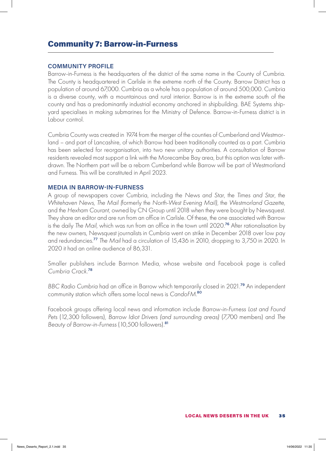### Community 7: Barrow-in-Furness

#### **COMMUNITY PROFILE**

Barrow-in-Furness is the headquarters of the district of the same name in the County of Cumbria. The County is headquartered in Carlisle in the extreme north of the County. Barrow District has a population of around 67,000. Cumbria as a whole has a population of around 500,000. Cumbria is a diverse county, with a mountainous and rural interior. Barrow is in the extreme south of the county and has a predominantly industrial economy anchored in shipbuilding. BAE Systems shipyard specialises in making submarines for the Ministry of Defence. Barrow-in-Furness district is in Labour control.

Cumbria County was created in 1974 from the merger of the counties of Cumberland and Westmorland – and part of Lancashire, of which Barrow had been traditionally counted as a part. Cumbria has been selected for reorganisation, into two new unitary authorities. A consultation of Barrow residents revealed most support a link with the Morecambe Bay area, but this option was later withdrawn. The Northern part will be a reborn Cumberland while Barrow will be part of Westmorland and Furness. This will be constituted in April 2023.

#### **MEDIA IN BARROW-IN-FURNESS**

A group of newspapers cover Cumbria, including the *News and Star,* the *Times and Star,* the *Whitehaven News, The Mail (*formerly the *North-West Evening Mail),* the *Westmorland Gazette,*  and the *Hexham Courant,* owned by CN Group until 2018 when they were bought by Newsquest. They share an editor and are run from an office in Carlisle. Of these, the one associated with Barrow is the daily *The Mail,* which was run from an office in the town until 2020.<sup>76</sup> After rationalisation by the new owners, Newsquest journalists in Cumbria went on strike in December 2018 over low pay and redundancies.<sup>77</sup> *The Mail* had a circulation of 15,436 in 2010, dropping to 3,750 in 2020. In 2020 it had an online audience of 86,331.

Smaller publishers include Barrnon Media, whose website and Facebook page is called *Cumbria Crack*. 78

*BBC Radio Cumbria* had an office in Barrow which temporarily closed in 2021.<sup>79</sup> An independent community station which offers some local news is *CandoFM*. 80

Facebook groups offering local news and information include *Barrow-in-Furness Lost and Found Pets* (12,300 followers), *Barrow Idiot Drivers (and surrounding areas)* (7,700 members) and *The Beauty of Barrow-in-Furness* (10,500 followers).<sup>81</sup>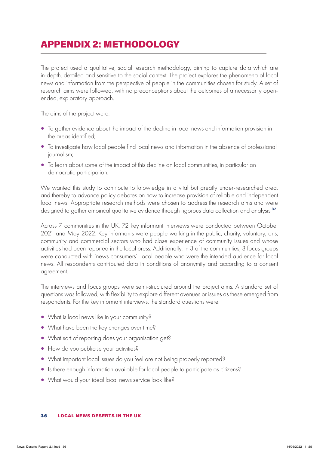# APPENDIX 2: METHODOLOGY

The project used a qualitative, social research methodology, aiming to capture data which are in-depth, detailed and sensitive to the social context. The project explores the phenomena of local news and information from the perspective of people in the communities chosen for study. A set of research aims were followed, with no preconceptions about the outcomes of a necessarily openended, exploratory approach.

The aims of the project were:

- To gather evidence about the impact of the decline in local news and information provision in the areas identified;
- To investigate how local people find local news and information in the absence of professional journalism;
- To learn about some of the impact of this decline on local communities, in particular on democratic participation.

We wanted this study to contribute to knowledge in a vital but greatly under-researched area, and thereby to advance policy debates on how to increase provision of reliable and independent local news. Appropriate research methods were chosen to address the research aims and were designed to gather empirical qualitative evidence through rigorous data collection and analysis.<sup>82</sup>

Across 7 communities in the UK, 72 key informant interviews were conducted between October 2021 and May 2022. Key informants were people working in the public, charity, voluntary, arts, community and commercial sectors who had close experience of community issues and whose activities had been reported in the local press. Additionally, in 3 of the communities, 8 focus groups were conducted with 'news consumers': local people who were the intended audience for local news. All respondents contributed data in conditions of anonymity and according to a consent agreement.

The interviews and focus groups were semi-structured around the project aims. A standard set of questions was followed, with flexibility to explore different avenues or issues as these emerged from respondents. For the key informant interviews, the standard questions were:

- What is local news like in your community?
- What have been the key changes over time?
- What sort of reporting does your organisation get?
- How do you publicise your activities?
- What important local issues do you feel are not being properly reported?
- Is there enough information available for local people to participate as citizens?
- What would your ideal local news service look like?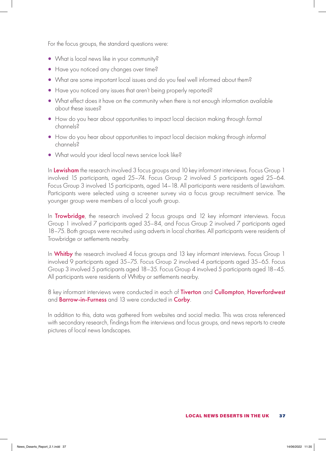For the focus groups, the standard questions were:

- What is local news like in your community?
- Have you noticed any changes over time?
- What are some important local issues and do you feel well informed about them?
- Have you noticed any issues that aren't being properly reported?
- What effect does it have on the community when there is not enough information available about these issues?
- How do you hear about opportunities to impact local decision making through *formal*  channels?
- How do you hear about opportunities to impact local decision making through *informal* channels?
- What would your ideal local news service look like?

In Lewisham the research involved 3 focus groups and 10 key informant interviews. Focus Group 1 involved 15 participants, aged 25–74. Focus Group 2 involved 5 participants aged 25–64. Focus Group 3 involved 15 participants, aged 14–18. All participants were residents of Lewisham. Participants were selected using a screener survey via a focus group recruitment service. The younger group were members of a local youth group.

In Trowbridge, the research involved 2 focus groups and 12 key informant interviews. Focus Group 1 involved 7 participants aged 35–84, and Focus Group 2 involved 7 participants aged 18–75. Both groups were recruited using adverts in local charities. All participants were residents of Trowbridge or settlements nearby.

In Whitby the research involved 4 focus groups and 13 key informant interviews. Focus Group 1 involved 9 participants aged 35–75. Focus Group 2 involved 4 participants aged 35–65. Focus Group 3 involved 5 participants aged 18–35. Focus Group 4 involved 5 participants aged 18–45. All participants were residents of Whitby or settlements nearby.

8 key informant interviews were conducted in each of Tiverton and Cullompton, Haverfordwest and **Barrow-in-Furness** and 13 were conducted in **Corby**.

In addition to this, data was gathered from websites and social media. This was cross referenced with secondary research, findings from the interviews and focus groups, and news reports to create pictures of local news landscapes.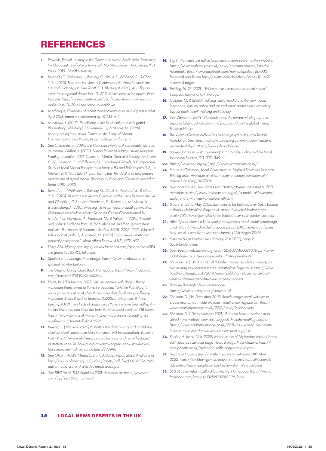# REFERENCES

- **1.** *Howells, Rachel. Journey to the Centre of a News Black Hole: Examining the Democratic Deficit in a Town with No Newspaper. Unpublished PhD thesis. 2015, Cardiff University.*
- **2.** *Lavender, T., Wilkinson, L., Ramsay, G., Stouli, S., Adshead, S., & Chan, Y. S. (2020). Research into Recent Dynamics of the Press Sector in the UK and Globally, p6. See Tobitt, C. (11th August 2020). ABC figures show most regional dailies lost 10–20% of circulation in lockdown. Press Gazette. https://pressgazette.co.uk/abc-figures-show-most-regionaldailies-lost-10–20-of-circulation-in-lockdown*
- **3.** *Mediatique, Overview of recent market dynamics in the UK press market, April 2018, report commissioned by DCMS, p. 5*
- **4.** *Matthews, R. (2017). The History of the Provincial press in England. Bloomsbury Publishing USA; Ramsay, G., & Moore, M. (2016). Monopolising local news. Centre for the Study of Media, Communication and Power, King's College London. p. 6*
- **5.** *See Cairncross, F. (2019). The Cairncross Review: A sustainable future for journalism; Watkins, L. (2021). Media Influence Matrix: United Kingdom. Funding Journalism 2021. Center for Media, Data and Society; Anderson, C.W., Coleman, S., and Thumim, N. 'How News Travels: A Comparative Study of Local Media Ecosystems in Leeds (UK) and Philadelphia (US)', in Nielsen, R. K. (Ed.). (2015). Local journalism: The decline of newspapers and the rise of digital media. Bloomsbury Publishing (Coleman looked at Leeds 2010–2013)*
- **6.** *Lavender, T., Wilkinson, L., Ramsay, G., Stouli, S., Adshead, S., & Chan, Y. S. (2020). Research into Recent Dynamics of the Press Sector in the UK and Globally, p7; See also Freedman, D., Fenton, N., Metykova, M., & Schlosberg, J. (2010). Meeting the news needs of local communities. Goldsmiths Leverhulme Media Research Centre Commissioned by Media Trust; Gavazza, A., Nardotto, M., & Valletti, T. (2019). 'Internet and politics: Evidence from UK local elections and local government policies'. The Review of Economic Studies, 86(5), 2092–2135.; Filla and Johnson 2010, Filla, J., & Johnson, M. (2010). 'Local news outlets and political participation.' Urban Affairs Review, 45(5), 679–692.*
- **7.** *I Love SE4. Homepage. https://www.facebook.com/groups/ILoveSE4. The group has 25,400 followers.*
- **8.** *Spotted in Trowbridge. Homepage. https://www.facebook.com/ spottedintrowbridgetown*
- **9.** *The Original Corby Chats Back. Homepage. https://www.facebook. com/groups/3934594946602614*
- **10.** *Hyde, N. (11th January 2022) Vets 'inundated' with dogs suffering mysterious illness linked to Yorkshire beaches. Yorkshire Post. https:// www.yorkshirepost.co.uk/health/vets-inundated-with-dogs-sufferingmysterious-illness-linked-to-beaches-3523364; Chapman, B. (18th January 2022). Hundreds of dogs across Yorkshire have been falling ill in the last few days, and there are fears the virus could escalate. GB News. https://www.gbnews.uk/news/mystery-dog-virus-is-spreading-likewildfire-as-150-pets-fall-ill/207925*
- **11.** *Beever, S. (14th June 2020) Protesters stand 24 hour 'guard' at Whitby Captain Cook Statue over fears monument will be vandalised. Yorkshire Post. https://www.yorkshirepost.co.uk/heritage-and-retro/heritage/ protesters-stand-24-hour-guard-at-whitby-captain-cook-statue-overfears-monument-will-be-vandalised-2883998*
- **12.** *See Ofcom, Adult's Media Use and Attitudes Report 2022. Available at https://www.ofcom.org.uk/\_\_data/assets/pdf\_file/0020/234362/ adults-media-use-and-attitudes-report-2022.pdf*
- **13.** *See BBC List of LDRS Suppliers 2021. Available at https://www.bbc. com/lnp/ldrs/2021\_contracts*
- **14.** *E.g. in Northants, the police force have a news section of their website: https://www.northants.police.uk/news/northants/news/, linked to Facebook https://www.facebook.com/northantspolice (187,000 followers) and Twitter https://twitter.com/NorthantsPolice (101,600 followers) pages.*
- **15.** *Fielding, N. G. (2021). 'Police communications and social media.' European Journal of Criminology.*
- **16.** *Colbran, M. P. (2020). Policing, social media and the new media landscape: can the police and the traditional media ever successfully bypass each other?. Policing and Society.*
- **17.** *See Davies, N. (2011). Flat earth news: An award-winning reporter exposes falsehood, distortion and propaganda in the global media. Random House.*
- **18.** *The Whitby Gazette archive has been digitised by the John Tindale Foundation. See https://whitbymuseum.org.uk/event/john-tindale-avision-of-whitby/; https://www.johntindale.org*
- **19.** *Steven Barnett & Judith Townend (2015) Plurality, Policy and the Local, Journalism Practice, 9:3, 332–349*
- **20.** *https://www.abc.org.uk/; http://www.jicregonline.co.uk/*
- **21.** *House of Commons, Local Government in England Structures Research Briefing 2021 Available at https://commonslibrary.parliament.uk/ research-briefings/sn07104*
- **22.** *Lewisham Council, Lewisham's Joint Strategic Needs Assessment, 2021. Available at http://www.lewishamjsna.org.uk/a-profile-of-lewisham/ social-and-environmental-context/ethnicity*
- **23.** *Linford, P. (22nd May 2015). Journalists to be balloted over South London cutbacks. HoldtheFrontPage.co.uk https://www.holdthefrontpage. co.uk/2015/news/journalists-to-be-balloted-over-south-london-cutbacks*
- **24.** *ABC figures: How the UK's weekly newspapers fared. Holdthefrontpage. co.uk. https://www.holdthefrontpage.co.uk/2010/news/abc-figureshow-the-uk-s-weekly-newspapers-fared/ (25th August 2010).*
- **25.** *Help the South London Press (January 28th 2022), page 2, South London Press.*
- **26.** *See https://web.archive.org/web/20160304000250/http://www. nsdatabase.co.uk/newspaperdetail.cfm?paperid=939*
- **27.** *Sharman, D. (10th April 2019) Publisher relaunches defunct weekly as two existing newspapers merge HoldtheFrontPage.co.uk https://www. holdthefrontpage.co.uk/2019/news/publisher-relaunches-defunctweekly-amid-merger-of-two-existing-newspapers*
- **28.** *Bromley Borough News. Homepage. https://www.bromleyboroughnews.co.uk*
- **29.** *Sharman, D. (5th December 2018). Reach merges local websites to create new London-wide platform. HoldtheFrontPage.co.uk. https:// www.holdthefrontpage.co.uk/2018/news/london-wide*
- **30.** *Sharman, D. (10th November 2021). Publisher boasts London's most visited news website, new data suggests. HoldtheFrontPage.co.uk. https://www.holdthefrontpage.co.uk/2021/news/publisher-boastslondons-most-visited-news-website-new-data-suggests*
- **31.** *Kersley, A. (May 26th, 2022) Meteoric rise of MyLondon stalls as former staff voice disquiet over page-views strategy. Press Gazette. https:// pressgazette.co.uk/mylondon-traffic-page-views-targets*
- **32.** *Lewisham Council, Lewisham Life Circulation. Retrieved 28th May 2022. https://lewisham.gov.uk/mayorandcouncil/aboutthecouncil/ advertising/advertising-lewisham-life/lewisham-life-circulation*
- **33.** *SE6 SE13 Lewisham Catford Community. Homepage. https://www. facebook.com/groups/1321482317882176/about*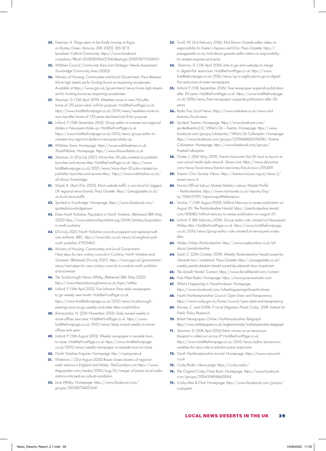- **34.** *Freeman, A. Things seem to be finally moving at Argos on Rushey Green. (January 30th 2022). SE6 SE13 Lewisham Catford Community. https://www.facebook. comphoto/?fbid=10158183766157540&set=gm.5090176771012693*
- **35.** *Wiltshire Council, Community Area Joint Strategic Needs Assessment Trowbridge Community Area (2020)*
- **36.** *Ministry of Housing, Communities and Local Government. Press Release: More high streets set for funding boost as reopening accelerates. Available at https://www.gov.uk/government/news/more-high-streetsset-for-funding-boost-as-reopening-accelerates*
- **37.** *Sharman, D. (15th April 2019). Weeklies move to new HQ after home of 170 years ruled 'unfit for purpose'. HoldtheFrontPage.co.uk. https://www.holdthefrontpage.co.uk/2019/news/weeklies-move-tonew-hq-after-home-of-170-years-declared-not-fit-for-purpose*
- **38.** *Linford, P. (10th December 2015). Group editor to oversee two regional dailies in Newquest shake-up. HoldtheFrontPage.co.uk. https://www.holdthefrontpage.co.uk/2015/news/group-editor-tooversee-two-regional-dailies-in-newquest-shake-up*
- **39.** *Wiltshire Times, Homepage. https://www.wiltshiretimes.co.uk; ThisisWiltshire, Homepage. https://www.thisiswiltshire.co.uk*
- **40.** *Sharman, D. (21st July 2021). More than 30 jobs created as publisher launches and revives titles. HoldtheFrontPage.co.uk. https://www. holdthefrontpage.co.uk/2021/news/more-than-30-jobs-created-aspublisher-launches-and-revives-titles/; https://www.wiltshirelive.co.uk/ all-about/trowbridge*
- **41.** *Majid, A. (April 21st, 2022), Most website traffic is non-local for biggest UK regional news brands. Press Gazette. https://pressgazette.co.uk/ uk-local-news-traffic*
- **42.** *Spotted in Trowbridge. Homepage. https://www.facebook.com/ spottedintrowbridgetown*
- **43.** *Data North Yorkshire. Population in North Yorkshire. (Retrieved 28th May 2022) https://www.datanorthyorkshire.org/JSNA/articles/populationin-north-yorkshire*
- **44.** *(21st July 2021) North Yorkshire councils scrapped and replaced with one authority. BBC. https://www.bbc.co.uk/news/uk-england-yorknorth-yorkshire-57923465*
- **45.** *Ministry of Housing, Communities and Local Government. Next steps for new unitary councils in Cumbria, North Yorkshire and Somerset. (Retrieved 21st July 2021). https://www.gov.uk/government/ news/next-steps-for-new-unitary-councils-in-cumbria-north-yorkshireand-somerset*
- **46.** *The Scarborough News. Whitby. (Retrieved 28th May 2022). https://www.thescarboroughnews.co.uk/topic/whitby*
- **47.** *Linford, P. (16th April 2012). Five Johnston Press daily newspapers to go weekly next month. HoldtheFrontPage.co.uk. https://www.holdthefrontpage.co.uk/2012/news/scarboroughevening-news-to-go-weekly-and-other-titles-could-follow*
- **48.** *Brinacombe, N. (25th November 2013). Daily-turned-weekly to move offices next year. HoldtheFrontPage.co.uk. https://www. holdthefrontpage.co.uk/2013/news/daily-turned-weekly-to-moveoffices-next-year*
- **49.** *Linford, P. (16th August 2010), Weekly newspaper in seaside town to close. HoldtheFrontPage.co.uk. https://www.holdthefrontpage. co.uk/2010/news/weekly-newspaper-in-seaside-town-to-close*
- **50.** *North Yorkshire Enquirer. Homepage. http://nyenquirer.uk*
- **51.** *Waterson, J. (31st August 2020) Bauer closes dozens of regional radio stations in England and Wales. TheGuardian.com https://www. theguardian.com/media/2020/aug/31/merger-of-bauer-local-radiostations-criticised-as-cultural-vandalism*
- **52.** *Love Whitby. Homepage. https://www.facebook.com/ groups/333581734025641*
- **53.** *Turvill, W. (3rd February 2016). Mid Devon Gazette editor takes on responsibility for Exeter's Express and Echo. Press Gazette. https:// pressgazette.co.uk/mid-devon-gazette-editor-takes-on-responsibilityfor-exeters-express-and-echo*
- **54.** *Sharman, D. (15th April 2016). Jobs to go and websites to merge in 'digital-first' restructure. HoldtheFrontPage.co.uk. https://www. holdthefrontpage.co.uk/2016/news/up-to-eight-jobs-to-go-in-digitalfirst-restructure-at-sister-newspapers*
- **55.** *Linford, P. (15th September 2016). Free newspaper suspends publication after 30 years. HoldtheFrontPage.co.uk. https://www.holdthefrontpage. co.uk/2016/news/free-newspaper-suspends-publication-after-30 years*
- **56..** *Radio Exe, Local News. https://www.radioexe.co.uk/news-andfeatures/local-news*
- **57.** *Spotted: Tiverton, Homepage. https://www.facebook.com/ spottedtiverton2.0/; What's On – Tiverton. Homepage. https://www. facebook.com/groups/whatsontiv/; What's On Cullompton. Homepage. https://www.facebook.com/groups/2270468626354138/; Positive Cullompton. Homepage. https://www.facebook.com/groups/ PositiveCullompton*
- **58.** *Clarke, L. (26th May 2019). Tiverton becomes first UK town to launch its own social media style network. Devon Live. https://www.devonlive. com/news/local-news/tiverton-becomes-first-uk-town-2910091*
- **59.** *Tiverton Civic Society. News. https://tivertoncivicsoc.org.uk/news-2/ recent-news-4*
- **60.** *Nomis Official Labour Market Statistics. Labour Market Profile – Pembrokeshire. https://www.nomisweb.co.uk/reports/lmp/ la/1946157391/report.aspx#tabempocc*
- **61.** *Sinclair, T. (13th August 2020). Milford Mercury to cease publication on August 20. The Pembrokeshire Herald. https://pembrokeshire-herald. com/60680/milford-mercury-to-cease-publication-on-august-20*
- **62.** *Linford, P. (8th February 2016). Group editor role created at Newsquest Wales titles. HoldtheFrontPage.co.uk. https://www.holdthefrontpage. co.uk/2016/news/group-editor-role-created-at-newsquest-walestitles*
- **63.** *Wales Online. Pembrokeshire. https://www.walesonline.co.uk/allabout/pembrokeshire*
- **64.** *Tobitt, C. (25th October 2019). Weekly Pembrokeshire Herald saved by 'eleventh-hour' investment. Press Gazette. https://pressgazette.co.uk/ weekly-pembrokeshire-herald-saved-by-eleventh-hour-investment*
- **65.** *The Llanelli Herald. Contact. https://www.llanelliherald.com/contact*
- **66.** *Pure West Radio. Homepage. https://www.purewestradio.com*
- **67.** *What's Happening in Haverfordwest. Homepage. https://www.facebook.com/whatshappeninginhaverfordwest*
- **68.** *North Northamptonshire Council. Open Data and Transparency. https://www.corby.gov.uk/home/council/open-data-and-transparency*
- **69.** *Murray, C. and Griffith, P. Local Migration Panel: Corby. 2018. Institute for Public Policy Research.*
- **70.** *British Newspapers Online. Northamptonshire Telegraph. https://www.britishpapers.co.uk/england-emids/northamptonshire-telegraph*
- **71.** *Sharman, D. (20th April 2015) Editor moves on as newsroom blueprint is rolled out across JP. HoldtheFrontPage.co.uk. https://www.holdthefrontpage.co.uk/2015/news/editor-leaves-twoweeklies-for-new-role-in-johnston-press-restructure*
- **72.** *North Northamptonshire Journal. Homepage. https://www.nnjournal. co.uk*
- **73.** *Corby Radio, News page. https://corby.radio/*
- **74.** *The Original Corby Chats Back. Homepage. https://www.facebook. com/groups/3934594946602614*
- **75.** *Corby Alert & Chat. Homepage. https://www.facebook.com/groups/ corbyalert*